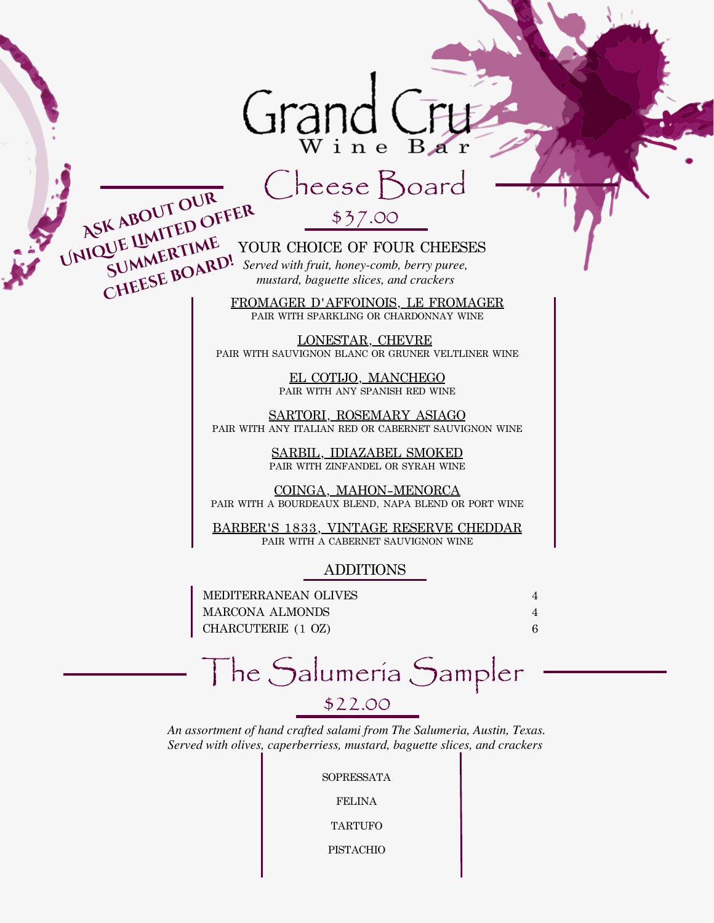### Grand Wine Bar

## Cheese Board

\$37.00

YOUR CHOICE OF FOUR CHEESES *Served with fruit, honey-comb, berry puree,* **WE LINE YOUR CHOICE OF FOUR CHEFSUMMERTIME**<br> **SUMMERTIME** Served with fruit, honey-comb, berry pure<br>
mustard, baguette slices, and crackers UNIQUE <u>UMITED</u> OF STRAINE YOUR CHOICE OF FOUR CHEESES SUMMERT SUMMERT!

**ASK ABOUT OUR<br>ASK ABOUT OUR**<br>SUMMERTIME

FROMAGER D'AFFOINOIS, LE FROMAGER PAIR WITH SPARKLING OR CHARDONNAY WINE

LONESTAR, CHEVRE PAIR WITH SAUVIGNON BLANC OR GRUNER VELTLINER WINE

> EL COTIJO, MANCHEGO PAIR WITH ANY SPANISH RED WINE

SARTORI, ROSEMARY ASIAGO PAIR WITH ANY ITALIAN RED OR CABERNET SAUVIGNON WINE

> SARBIL, IDIAZABEL SMOKED PAIR WITH ZINFANDEL OR SYRAH WINE

COINGA, MAHON-MENORCA PAIR WITH A BOURDEAUX BLEND, NAPA BLEND OR PORT WINE

BARBER'S 1833, VINTAGE RESERVE CHEDDAR PAIR WITH A CABERNET SAUVIGNON WINE

#### **ADDITIONS**

4 CHARCUTERIE (1 OZ) 4 MEDITERRANEAN OLIVES 6 MARCONA ALMONDS

## The Salumeria Sampler

\$22.00

*Served with olives, caperberriess, mustard, baguette slices, and crackers An assortment of hand crafted salami from The Salumeria, Austin, Texas.*

SOPRESSATA

FELINA

TARTUFO

PISTACHIO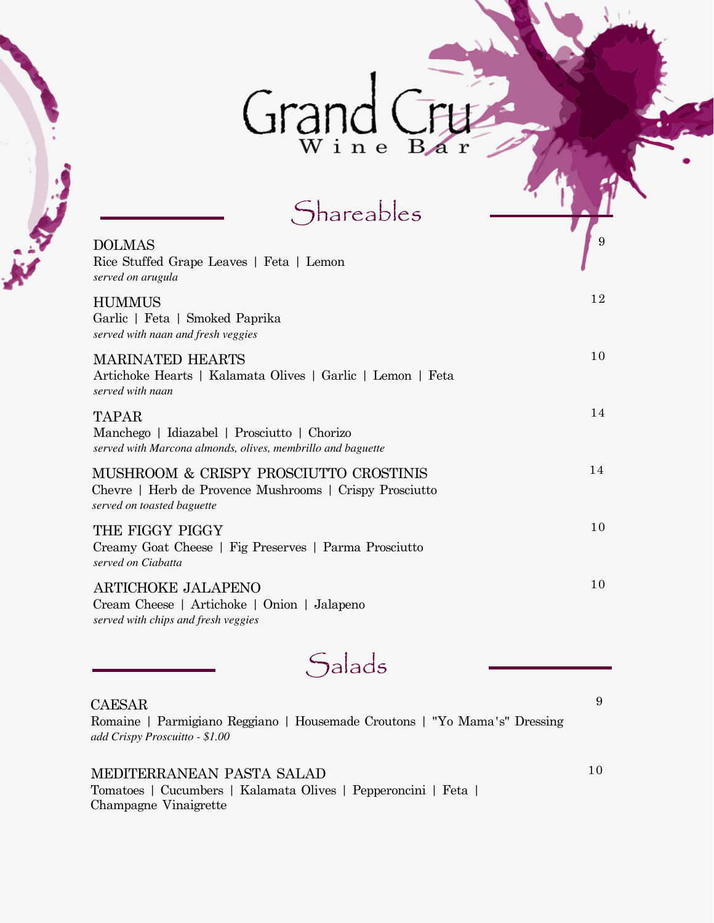# Grand Cru

**Shareables** 

| <b>DOLMAS</b><br>Rice Stuffed Grape Leaves   Feta   Lemon<br>served on arugula                                                  | 9  |
|---------------------------------------------------------------------------------------------------------------------------------|----|
| <b>HUMMUS</b><br>Garlic   Feta   Smoked Paprika<br>served with naan and fresh veggies                                           | 12 |
| <b>MARINATED HEARTS</b><br>Artichoke Hearts   Kalamata Olives   Garlic   Lemon   Feta<br>served with naan                       | 10 |
| <b>TAPAR</b><br>Manchego   Idiazabel   Prosciutto   Chorizo<br>served with Marcona almonds, olives, membrillo and baguette      | 14 |
| MUSHROOM & CRISPY PROSCIUTTO CROSTINIS<br>Chevre   Herb de Provence Mushrooms   Crispy Prosciutto<br>served on toasted baguette | 14 |
| THE FIGGY PIGGY<br>Creamy Goat Cheese   Fig Preserves   Parma Prosciutto<br>served on Ciabatta                                  | 10 |
| <b>ARTICHOKE JALAPENO</b><br>Cream Cheese   Artichoke   Onion   Jalapeno<br>served with chips and fresh veggies                 | 10 |

**Salads** 

#### $CAESAR$   $9$

**REGISTER** 

*add Crispy Proscuitto - \$1.00* Romaine | Parmigiano Reggiano | Housemade Croutons | "Yo Mama's" Dressing

 $\rm \bf MEDITERRANEAN \; PASTA \; SALAD \eqno{10}$ Tomatoes | Cucumbers | Kalamata Olives | Pepperoncini | Feta | Champagne Vinaigrette